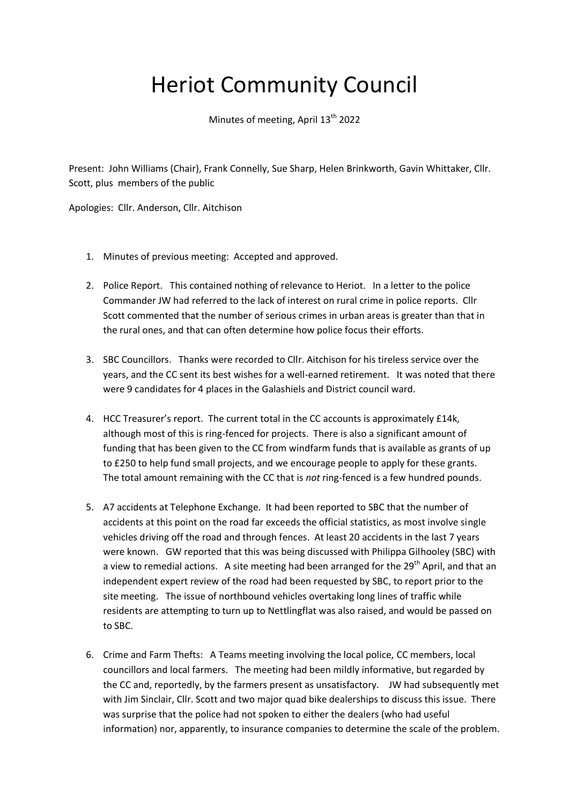## Heriot Community Council

Minutes of meeting, April 13<sup>th</sup> 2022

Present: John Williams (Chair), Frank Connelly, Sue Sharp, Helen Brinkworth, Gavin Whittaker, Cllr. Scott, plus members of the public

Apologies: Cllr. Anderson, Cllr. Aitchison

- 1. Minutes of previous meeting: Accepted and approved.
- 2. Police Report. This contained nothing of relevance to Heriot. In a letter to the police Commander JW had referred to the lack of interest on rural crime in police reports. Cllr Scott commented that the number of serious crimes in urban areas is greater than that in the rural ones, and that can often determine how police focus their efforts.
- 3. SBC Councillors. Thanks were recorded to Cllr. Aitchison for his tireless service over the years, and the CC sent its best wishes for a well-earned retirement. It was noted that there were 9 candidates for 4 places in the Galashiels and District council ward.
- 4. HCC Treasurer's report. The current total in the CC accounts is approximately £14k, although most of this is ring-fenced for projects. There is also a significant amount of funding that has been given to the CC from windfarm funds that is available as grants of up to £250 to help fund small projects, and we encourage people to apply for these grants. The total amount remaining with the CC that is *not* ring-fenced is a few hundred pounds.
- 5. A7 accidents at Telephone Exchange. It had been reported to SBC that the number of accidents at this point on the road far exceeds the official statistics, as most involve single vehicles driving off the road and through fences. At least 20 accidents in the last 7 years were known. GW reported that this was being discussed with Philippa Gilhooley (SBC) with a view to remedial actions. A site meeting had been arranged for the 29<sup>th</sup> April, and that an independent expert review of the road had been requested by SBC, to report prior to the site meeting. The issue of northbound vehicles overtaking long lines of traffic while residents are attempting to turn up to Nettlingflat was also raised, and would be passed on to SBC.
- 6. Crime and Farm Thefts: A Teams meeting involving the local police, CC members, local councillors and local farmers. The meeting had been mildly informative, but regarded by the CC and, reportedly, by the farmers present as unsatisfactory. JW had subsequently met with Jim Sinclair, Cllr. Scott and two major quad bike dealerships to discuss this issue. There was surprise that the police had not spoken to either the dealers (who had useful information) nor, apparently, to insurance companies to determine the scale of the problem.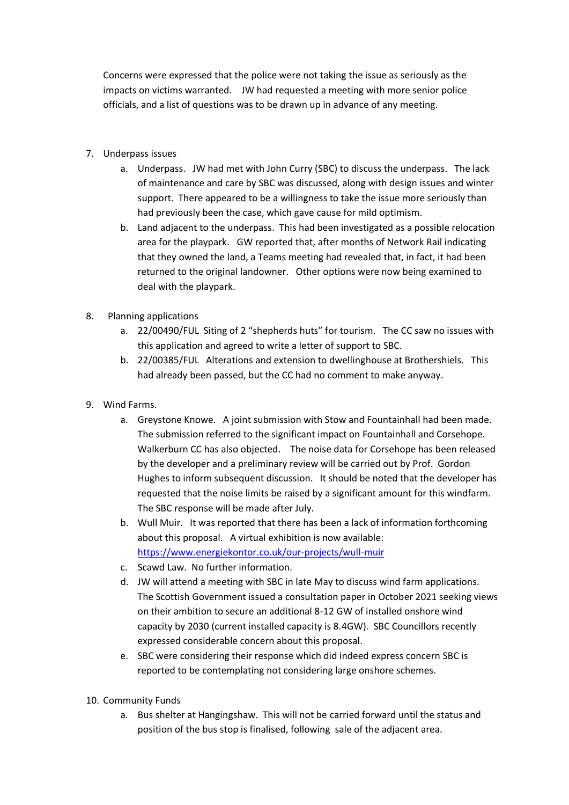Concerns were expressed that the police were not taking the issue as seriously as the impacts on victims warranted. JW had requested a meeting with more senior police officials, and a list of questions was to be drawn up in advance of any meeting.

- 7. Underpass issues
	- a. Underpass. JW had met with John Curry (SBC) to discuss the underpass. The lack of maintenance and care by SBC was discussed, along with design issues and winter support. There appeared to be a willingness to take the issue more seriously than had previously been the case, which gave cause for mild optimism.
	- b. Land adjacent to the underpass. This had been investigated as a possible relocation area for the playpark. GW reported that, after months of Network Rail indicating that they owned the land, a Teams meeting had revealed that, in fact, it had been returned to the original landowner. Other options were now being examined to deal with the playpark.
- 8. Planning applications
	- a. 22/00490/FUL Siting of 2 "shepherds huts" for tourism. The CC saw no issues with this application and agreed to write a letter of support to SBC.
	- b. 22/00385/FUL Alterations and extension to dwellinghouse at Brothershiels. This had already been passed, but the CC had no comment to make anyway.
- 9. Wind Farms.
	- a. Greystone Knowe. A joint submission with Stow and Fountainhall had been made. The submission referred to the significant impact on Fountainhall and Corsehope. Walkerburn CC has also objected. The noise data for Corsehope has been released by the developer and a preliminary review will be carried out by Prof. Gordon Hughes to inform subsequent discussion. It should be noted that the developer has requested that the noise limits be raised by a significant amount for this windfarm. The SBC response will be made after July.
	- b. Wull Muir. It was reported that there has been a lack of information forthcoming about this proposal. A virtual exhibition is now available: <https://www.energiekontor.co.uk/our-projects/wull-muir>
	- c. Scawd Law. No further information.
	- d. JW will attend a meeting with SBC in late May to discuss wind farm applications. The Scottish Government issued a consultation paper in October 2021 seeking views on their ambition to secure an additional 8-12 GW of installed onshore wind capacity by 2030 (current installed capacity is 8.4GW). SBC Councillors recently expressed considerable concern about this proposal.
	- e. SBC were considering their response which did indeed express concern SBC is reported to be contemplating not considering large onshore schemes.
- 10. Community Funds
	- a. Bus shelter at Hangingshaw. This will not be carried forward until the status and position of the bus stop is finalised, following sale of the adjacent area.